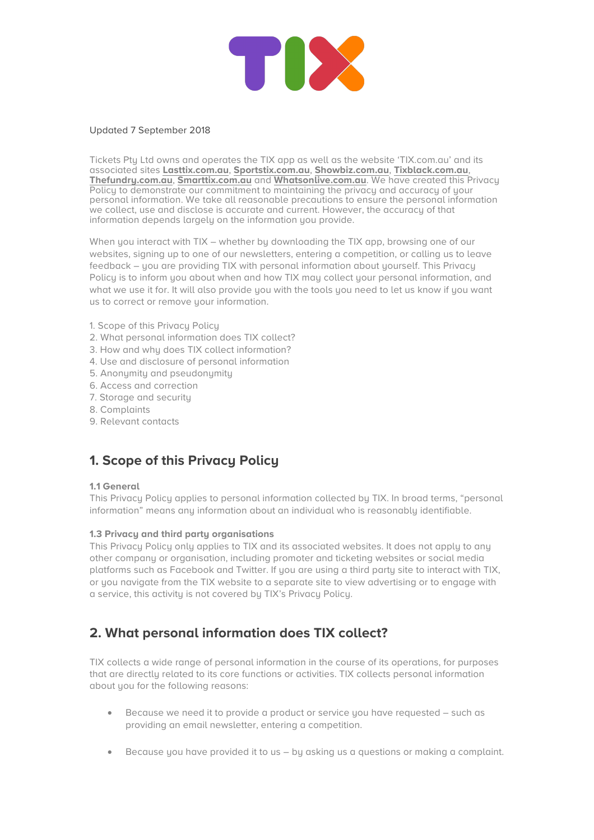

### Updated 7 September 2018

Tickets Pty Ltd owns and operates the TIX app as well as the website 'TIX.com.au' and its associated sites **Lasttix.com.au**, **Sportstix.com.au**, **Showbiz.com.au**, **Tixblack.com.au**, **Thefundry.com.au**, **Smarttix.com.au** and **Whatsonlive.com.au**. We have created this Privacy Policy to demonstrate our commitment to maintaining the privacy and accuracy of your personal information. We take all reasonable precautions to ensure the personal information we collect, use and disclose is accurate and current. However, the accuracy of that information depends largely on the information you provide.

When you interact with TIX – whether by downloading the TIX app, browsing one of our websites, signing up to one of our newsletters, entering a competition, or calling us to leave feedback – you are providing TIX with personal information about yourself. This Privacy Policy is to inform you about when and how TIX may collect your personal information, and what we use it for. It will also provide you with the tools you need to let us know if you want us to correct or remove your information.

- 1. Scope of this Privacy Policy
- 2. What personal information does TIX collect?
- 3. How and why does TIX collect information?
- 4. Use and disclosure of personal information
- 5. Anonymity and pseudonymity
- 6. Access and correction
- 7. Storage and security
- 8. Complaints
- 9. Relevant contacts

# **1. Scope of this Privacy Policy**

### **1.1 General**

This Privacu Policu applies to personal information collected by TIX. In broad terms, "personal information" means any information about an individual who is reasonably identifiable.

### **1.3 Privacy and third party organisations**

This Privacy Policy only applies to TIX and its associated websites. It does not apply to any other company or organisation, including promoter and ticketing websites or social media platforms such as Facebook and Twitter. If you are using a third party site to interact with TIX, or you navigate from the TIX website to a separate site to view advertising or to engage with a service, this activity is not covered by TIX's Privacy Policy.

## **2. What personal information does TIX collect?**

TIX collects a wide range of personal information in the course of its operations, for purposes that are directly related to its core functions or activities. TIX collects personal information about you for the following reasons:

- Because we need it to provide a product or service you have requested such as providing an email newsletter, entering a competition.
- Because you have provided it to us by asking us a questions or making a complaint.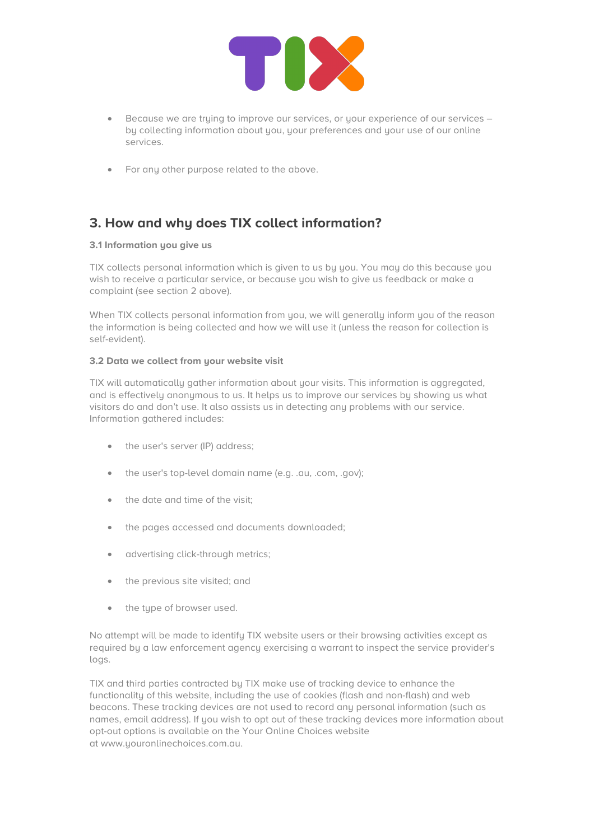

- Because we are trying to improve our services, or your experience of our services by collecting information about you, your preferences and your use of our online services.
- For any other purpose related to the above.

# **3. How and why does TIX collect information?**

## **3.1 Information you give us**

TIX collects personal information which is given to us by you. You may do this because you wish to receive a particular service, or because you wish to give us feedback or make a complaint (see section 2 above).

When TIX collects personal information from you, we will generally inform you of the reason the information is being collected and how we will use it (unless the reason for collection is self-evident).

### **3.2 Data we collect from your website visit**

TIX will automatically gather information about your visits. This information is aggregated, and is effectively anonymous to us. It helps us to improve our services by showing us what visitors do and don't use. It also assists us in detecting any problems with our service. Information gathered includes:

- the user's server (IP) address;
- the user's top-level domain name (e.g. .au, .com, .gov);
- the date and time of the visit;
- the pages accessed and documents downloaded;
- advertising click-through metrics;
- the previous site visited; and
- the type of browser used.

No attempt will be made to identify TIX website users or their browsing activities except as required by a law enforcement agency exercising a warrant to inspect the service provider's logs.

TIX and third parties contracted by TIX make use of tracking device to enhance the functionality of this website, including the use of cookies (flash and non-flash) and web beacons. These tracking devices are not used to record any personal information (such as names, email address). If you wish to opt out of these tracking devices more information about opt-out options is available on the Your Online Choices website at www.youronlinechoices.com.au.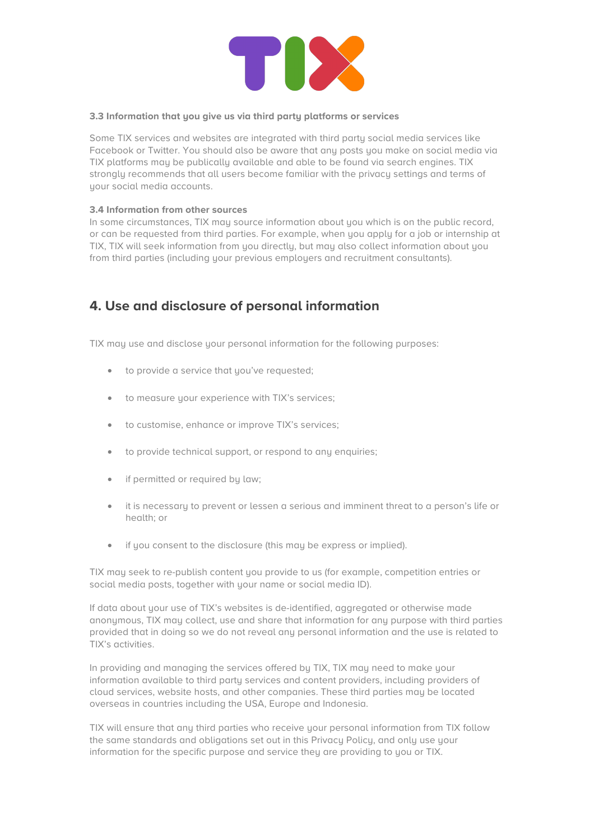

### **3.3 Information that you give us via third party platforms or services**

Some TIX services and websites are integrated with third party social media services like Facebook or Twitter. You should also be aware that any posts you make on social media via TIX platforms may be publically available and able to be found via search engines. TIX strongly recommends that all users become familiar with the privacy settings and terms of your social media accounts.

### **3.4 Information from other sources**

In some circumstances, TIX may source information about you which is on the public record, or can be requested from third parties. For example, when you apply for a job or internship at TIX, TIX will seek information from you directly, but may also collect information about you from third parties (including your previous employers and recruitment consultants).

## **4. Use and disclosure of personal information**

TIX may use and disclose your personal information for the following purposes:

- to provide a service that you've requested;
- to measure your experience with TIX's services;
- to customise, enhance or improve TIX's services;
- to provide technical support, or respond to any enquiries;
- if permitted or required by law;
- it is necessary to prevent or lessen a serious and imminent threat to a person's life or health; or
- if you consent to the disclosure (this may be express or implied).

TIX may seek to re-publish content you provide to us (for example, competition entries or social media posts, together with your name or social media ID).

If data about your use of TIX's websites is de-identified, aggregated or otherwise made anonymous, TIX may collect, use and share that information for any purpose with third parties provided that in doing so we do not reveal any personal information and the use is related to TIX's activities.

In providing and managing the services offered by TIX, TIX may need to make your information available to third party services and content providers, including providers of cloud services, website hosts, and other companies. These third parties may be located overseas in countries including the USA, Europe and Indonesia.

TIX will ensure that any third parties who receive your personal information from TIX follow the same standards and obligations set out in this Privacy Policy, and only use your information for the specific purpose and service they are providing to you or TIX.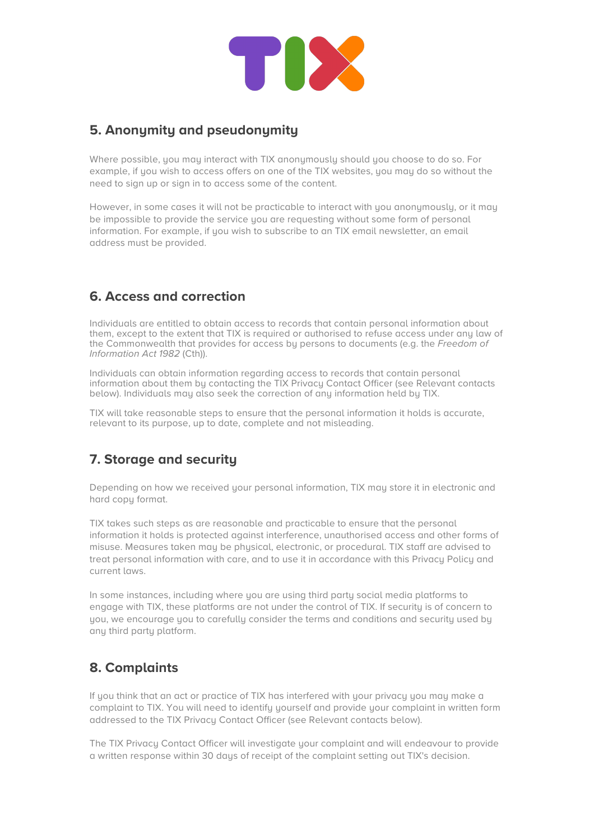

## **5. Anonymity and pseudonymity**

Where possible, you may interact with TIX anonymously should you choose to do so. For example, if you wish to access offers on one of the TIX websites, you may do so without the need to sign up or sign in to access some of the content.

However, in some cases it will not be practicable to interact with you anonymously, or it may be impossible to provide the service you are requesting without some form of personal information. For example, if you wish to subscribe to an TIX email newsletter, an email address must be provided.

# **6. Access and correction**

Individuals are entitled to obtain access to records that contain personal information about them, except to the extent that TIX is required or authorised to refuse access under any law of the Commonwealth that provides for access by persons to documents (e.g. the *Freedom of Information Act 1982* (Cth)).

Individuals can obtain information regarding access to records that contain personal information about them by contacting the TIX Privacy Contact Officer (see Relevant contacts below). Individuals may also seek the correction of any information held by TIX.

TIX will take reasonable steps to ensure that the personal information it holds is accurate, relevant to its purpose, up to date, complete and not misleading.

# **7. Storage and security**

Depending on how we received your personal information, TIX may store it in electronic and hard copy format.

TIX takes such steps as are reasonable and practicable to ensure that the personal information it holds is protected against interference, unauthorised access and other forms of misuse. Measures taken may be physical, electronic, or procedural. TIX staff are advised to treat personal information with care, and to use it in accordance with this Privacy Policy and current laws.

In some instances, including where you are using third party social media platforms to engage with TIX, these platforms are not under the control of TIX. If security is of concern to you, we encourage you to carefully consider the terms and conditions and security used by any third party platform.

# **8. Complaints**

If you think that an act or practice of TIX has interfered with your privacy you may make a complaint to TIX. You will need to identify yourself and provide your complaint in written form addressed to the TIX Privacy Contact Officer (see Relevant contacts below).

The TIX Privacy Contact Officer will investigate your complaint and will endeavour to provide a written response within 30 days of receipt of the complaint setting out TIX's decision.